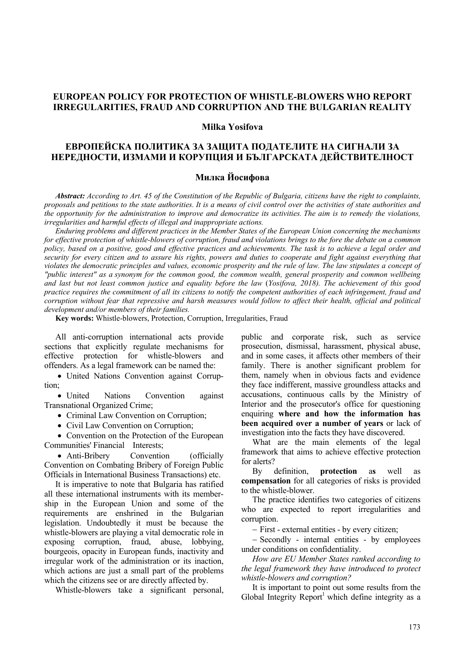# **EUROPEAN POLICY FOR PROTECTION OF WHISTLE-BLOWERS WHO REPORT IRREGULARITIES, FRAUD AND CORRUPTION AND THE BULGARIAN REALITY**

#### **Milka Yosifova**

# **ЕВРОПЕЙСКА ПОЛИТИКА ЗА ЗАЩИТА ПОДАТЕЛИТЕ НА СИГНАЛИ ЗА НЕРЕДНОСТИ, ИЗМАМИ И КОРУПЦИЯ И БЪЛГАРСКАТА ДЕЙСТВИТЕЛНОСТ**

# **Милка Йосифова**

*Abstract: According to Art. 45 of the Constitution of the Republic of Bulgaria, citizens have the right to complaints, proposals and petitions to the state authorities. It is a means of civil control over the activities of state authorities and the opportunity for the administration to improve and democratize its activities. The aim is to remedy the violations, irregularities and harmful effects of illegal and inappropriate actions.*

*Enduring problems and different practices in the Member States of the European Union concerning the mechanisms for effective protection of whistle-blowers of corruption, fraud and violations brings to the fore the debate on a common policy, based on a positive, good and effective practices and achievements. The task is to achieve a legal order and security for every citizen and to assure his rights, powers and duties to cooperate and fight against everything that violates the democratic principles and values, economic prosperity and the rule of law. The law stipulates a concept of "public interest" as a synonym for the common good, the common wealth, general prosperity and common wellbeing and last but not least common justice and equality before the law* (*Yosifova, 2018). The achievement of this good practice requires the commitment of all its citizens to notify the competent authorities of each infringement, fraud and corruption without fear that repressive and harsh measures would follow to affect their health, official and political development and/or members of their families.*

**Key words:** Whistle-blowers, Protection, Corruption, Irregularities, Fraud

All anti-corruption international acts provide sections that explicitly regulate mechanisms for effective protection for whistle-blowers and offenders. As a legal framework can be named the:

• United Nations Convention against Corruption;

• United Nations Convention against Transnational Organized Crime;

• Criminal Law Convention on Corruption;

• Civil Law Convention on Corruption;

• Convention on the Protection of the European Communities' Financial Interests;

• Anti-Bribery Convention (officially Convention on Combating Bribery of Foreign Public Officials in International Business Transactions) etc.

It is imperative to note that Bulgaria has ratified all these international instruments with its membership in the European Union and some of the requirements are enshrined in the Bulgarian legislation. Undoubtedly it must be because the whistle-blowers are playing a vital democratic role in exposing corruption, fraud, abuse, lobbying, bourgeois, opacity in European funds, inactivity and irregular work of the administration or its inaction, which actions are just a small part of the problems which the citizens see or are directly affected by.

Whistle-blowers take a significant personal,

public and corporate risk, such as service prosecution, dismissal, harassment, physical abuse, and in some cases, it affects other members of their family. There is another significant problem for them, namely when in obvious facts and evidence they face indifferent, massive groundless attacks and accusations, continuous calls by the Ministry of Interior and the prosecutor's office for questioning enquiring **where and how the information has been acquired over a number of years** or lack of investigation into the facts they have discovered.

What are the main elements of the legal framework that aims to achieve effective protection for alerts?

By definition, **protection** a**s** well as **compensation** for all categories of risks is provided to the whistle-blower.

The practice identifies two categories of citizens who are expected to report irregularities and corruption.

− First - external entities - by every citizen;

− Secondly - internal entities - by employees under conditions on confidentiality.

*How are EU Member States ranked according to the legal framework they have introduced to protect whistle-blowers and corruption?*

It is important to point out some results from the Global Integrity Report<sup>1</sup> which define integrity as a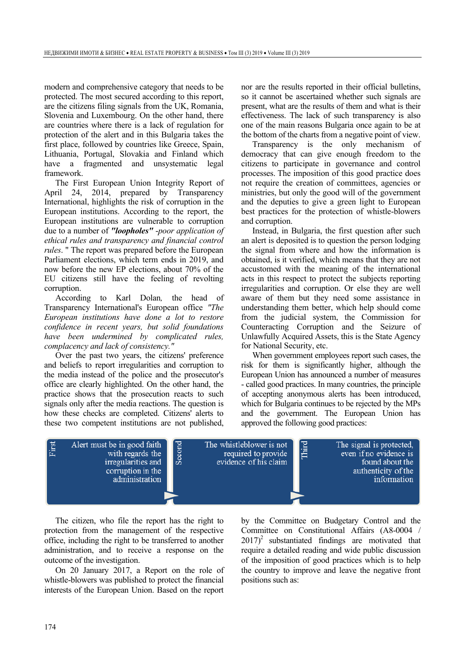modern and comprehensive category that needs to be protected. The most secured according to this report, are the citizens filing signals from the UK, Romania, Slovenia and Luxembourg. On the other hand, there are countries where there is a lack of regulation for protection of the alert and in this Bulgaria takes the first place, followed by countries like Greece, Spain, Lithuania, Portugal, Slovakia and Finland which have a fragmented and unsystematic legal framework.

The First European Union Integrity Report of April 24, 2014, prepared by Transparency International, highlights the risk of corruption in the European institutions. According to the report, the European institutions are vulnerable to corruption due to a number of *"loopholes"* -*poor application of ethical rules and transparency and financial control rules*. " The report was prepared before the European Parliament elections, which term ends in 2019, and now before the new EP elections, about 70% of the EU citizens still have the feeling of revolting corruption.

According to Karl Dolan*,* the head of Transparency International's European office *"The European institutions have done a lot to restore confidence in recent years, but solid foundations have been undermined by complicated rules, complacency and lack of consistency."*

Over the past two years, the citizens' preference and beliefs to report irregularities and corruption to the media instead of the police and the prosecutor's office are clearly highlighted. On the other hand, the practice shows that the prosecution reacts to such signals only after the media reactions. The question is how these checks are completed. Citizens' alerts to these two competent institutions are not published, nor are the results reported in their official bulletins, so it cannot be ascertained whether such signals are present, what are the results of them and what is their effectiveness. The lack of such transparency is also one of the main reasons Bulgaria once again to be at the bottom of the charts from a negative point of view.

Transparency is the only mechanism of democracy that can give enough freedom to the citizens to participate in governance and control processes. The imposition of this good practice does not require the creation of committees, agencies or ministries, but only the good will of the government and the deputies to give a green light to European best practices for the protection of whistle-blowers and corruption.

Instead, in Bulgaria, the first question after such an alert is deposited is to question the person lodging the signal from where and how the information is obtained, is it verified, which means that they are not accustomed with the meaning of the international acts in this respect to protect the subjects reporting irregularities and corruption. Or else they are well aware of them but they need some assistance in understanding them better, which help should come from the judicial system, the Commission for Counteracting Corruption and the Seizure of Unlawfully Acquired Assets, this is the State Agency for National Security, etc.

When government employees report such cases, the risk for them is significantly higher, although the European Union has announced a number of measures - called good practices. In many countries, the principle of accepting anonymous alerts has been introduced, which for Bulgaria continues to be rejected by the MPs and the government. The European Union has approved the following good practices:



The citizen, who file the report has the right to protection from the management of the respective office, including the right to be transferred to another administration, and to receive a response on the outcome of the investigation.

On 20 January 2017, a Report on the role of whistle-blowers was published to protect the financial interests of the European Union. Based on the report

by the Committee on Budgetary Control and the Committee on Constitutional Affairs (A8-0004 /  $2017$ <sup>2</sup> substantiated findings are motivated that require a detailed reading and wide public discussion of the imposition of good practices which is to help the country to improve and leave the negative front positions such as: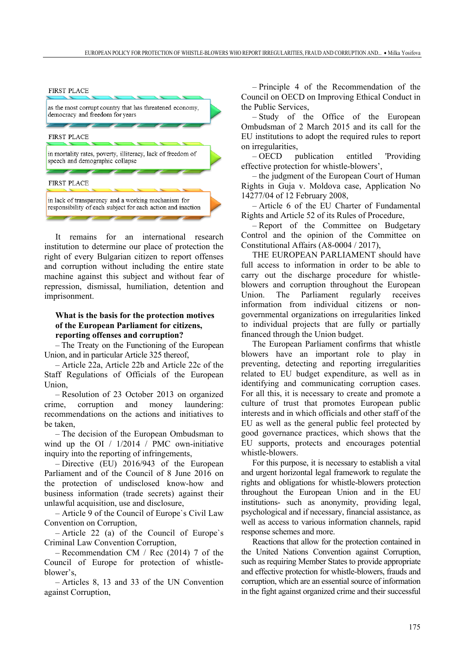

It remains for an international research institution to determine our place of protection the right of every Bulgarian citizen to report offenses and corruption without including the entire state machine against this subject and without fear of repression, dismissal, humiliation, detention and imprisonment.

# **What is the basis for the protection motives of the European Parliament for citizens, reporting offenses and corruption?**

– The Treaty on the Functioning of the European Union, and in particular Article 325 thereof,

– Article 22a, Article 22b and Article 22c of the Staff Regulations of Officials of the European Union,

– Resolution of 23 October 2013 on organized crime, corruption and money laundering: recommendations on the actions and initiatives to be taken,

– The decision of the European Ombudsman to wind up the OI /  $1/2014$  / PMC own-initiative inquiry into the reporting of infringements,

– Directive (EU) 2016/943 of the European Parliament and of the Council of 8 June 2016 on the protection of undisclosed know-how and business information (trade secrets) against their unlawful acquisition, use and disclosure,

– Article 9 of the Council of Europe`s Civil Law Convention on Corruption,

– Article 22 (a) of the Council of Europe`s Criminal Law Convention Corruption,

– Recommendation CM / Rec (2014) 7 of the Council of Europe for protection of whistleblower's,

– Articles 8, 13 and 33 of the UN Convention against Corruption,

– Principle 4 of the Recommendation of the Council on OECD on Improving Ethical Conduct in the Public Services,

– Study of the Office of the European Ombudsman of 2 March 2015 and its call for the EU institutions to adopt the required rules to report on irregularities,

– OECD publication entitled 'Providing effective protection for whistle-blowers',

– the judgment of the European Court of Human Rights in Guja v. Moldova case, Application No 14277/04 of 12 February 2008,

– Article 6 of the EU Charter of Fundamental Rights and Article 52 of its Rules of Procedure,

– Report of the Committee on Budgetary Control and the opinion of the Committee on Constitutional Affairs (A8-0004 / 2017),

THE EUROPEAN PARLIAMENT should have full access to information in order to be able to carry out the discharge procedure for whistleblowers and corruption throughout the European Union. The Parliament regularly receives information from individual citizens or nongovernmental organizations on irregularities linked to individual projects that are fully or partially financed through the Union budget.

The European Parliament confirms that whistle blowers have an important role to play in preventing, detecting and reporting irregularities related to EU budget expenditure, as well as in identifying and communicating corruption cases. For all this, it is necessary to create and promote a culture of trust that promotes European public interests and in which officials and other staff of the EU as well as the general public feel protected by good governance practices, which shows that the EU supports, protects and encourages potential whistle-blowers.

For this purpose, it is necessary to establish a vital and urgent horizontal legal framework to regulate the rights and obligations for whistle-blowers protection throughout the European Union and in the EU institutions- such as anonymity, providing legal, psychological and if necessary, financial assistance, as well as access to various information channels, rapid response schemes and more.

Reactions that allow for the protection contained in the United Nations Convention against Corruption, such as requiring Member States to provide appropriate and effective protection for whistle-blowers, frauds and corruption, which are an essential source of information in the fight against organized crime and their successful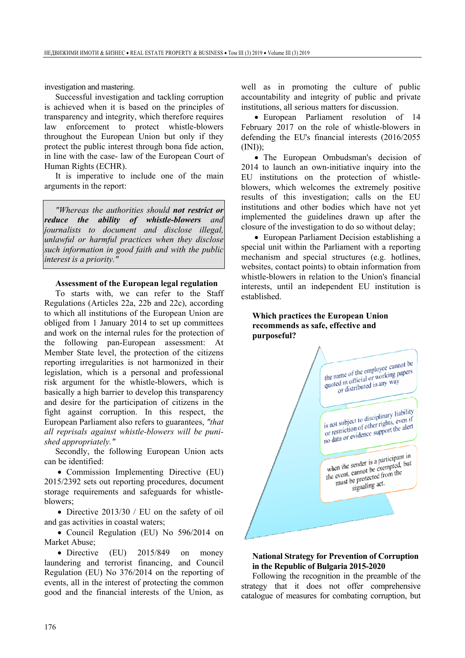investigation and mastering.

Successful investigation and tackling corruption is achieved when it is based on the principles of transparency and integrity, which therefore requires law enforcement to protect whistle-blowers throughout the European Union but only if they protect the public interest through bona fide action, in line with the case- law of the European Court of Human Rights (ECHR).

It is imperative to include one of the main arguments in the report:

*"Whereas the authorities should not restrict or reduce the ability of whistle-blowers and journalists to document and disclose illegal, unlawful or harmful practices when they disclose such information in good faith and with the public interest is a priority."*

#### **Assessment of the European legal regulation**

To starts with, we can refer to the Staff Regulations (Articles 22a, 22b and 22c), according to which all institutions of the European Union are obliged from 1 January 2014 to set up committees and work on the internal rules for the protection of the following pan-European assessment: At Member State level, the protection of the citizens reporting irregularities is not harmonized in their legislation, which is a personal and professional risk argument for the whistle-blowers, which is basically a high barrier to develop this transparency and desire for the participation of citizens in the fight against corruption. In this respect, the European Parliament also refers to guarantees, *"that all reprisals against whistle-blowers will be punished appropriately."*

Secondly, the following European Union acts can be identified:

• Commission Implementing Directive (EU) 2015/2392 sets out reporting procedures, document storage requirements and safeguards for whistleblowers;

• Directive 2013/30 / EU on the safety of oil and gas activities in coastal waters;

• Council Regulation (EU) No 596/2014 on Market Abuse;

• Directive (EU) 2015/849 on money laundering and terrorist financing, and Council Regulation (EU) No 376/2014 on the reporting of events, all in the interest of protecting the common good and the financial interests of the Union, as

well as in promoting the culture of public accountability and integrity of public and private institutions, all serious matters for discussion.

• European Parliament resolution of 14 February 2017 on the role of whistle-blowers in defending the EU's financial interests (2016/2055  $(INI)$ ;

• The European Ombudsman's decision of 2014 to launch an own-initiative inquiry into the EU institutions on the protection of whistleblowers, which welcomes the extremely positive results of this investigation; calls on the EU institutions and other bodies which have not yet implemented the guidelines drawn up after the closure of the investigation to do so without delay;

• European Parliament Decision establishing a special unit within the Parliament with a reporting mechanism and special structures (e.g. hotlines, websites, contact points) to obtain information from whistle-blowers in relation to the Union's financial interests, until an independent EU institution is established.

### **Which practices the European Union recommends as safe, effective and purposeful?**



#### **National Strategy for Prevention of Corruption in the Republic of Bulgaria 2015-2020**

Following the recognition in the preamble of the strategy that it does not offer comprehensive catalogue of measures for combating corruption, but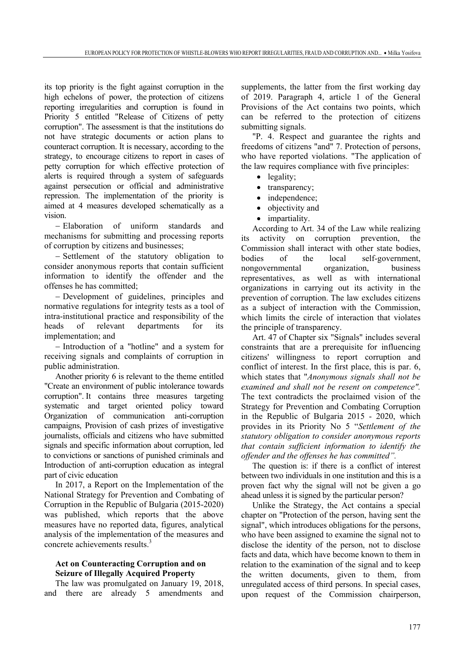its top priority is the fight against corruption in the high echelons of power, the protection of citizens reporting irregularities and corruption is found in Priority 5 entitled "Release of Citizens of petty corruption". The assessment is that the institutions do not have strategic documents or action plans to counteract corruption. It is necessary, according to the strategy, to encourage citizens to report in cases of petty corruption for which effective protection of alerts is required through a system of safeguards against persecution or official and administrative repression. The implementation of the priority is aimed at 4 measures developed schematically as a vision.

− Elaboration of uniform standards and mechanisms for submitting and processing reports of corruption by citizens and businesses;

− Settlement of the statutory obligation to consider anonymous reports that contain sufficient information to identify the offender and the offenses he has committed;

− Development of guidelines, principles and normative regulations for integrity tests as a tool of intra-institutional practice and responsibility of the heads of relevant departments for its implementation; and

− Introduction of a "hotline" and a system for receiving signals and complaints of corruption in public administration.

Another priority 6 is relevant to the theme entitled "Create an environment of public intolerance towards corruption". It contains three measures targeting systematic and target oriented policy toward Organization of communication anti-corruption campaigns, Provision of cash prizes of investigative journalists, officials and citizens who have submitted signals and specific information about corruption, led to convictions or sanctions of punished criminals and Introduction of anti-corruption education as integral part of civic education

In 2017, a Report on the Implementation of the National Strategy for Prevention and Combating of Corruption in the Republic of Bulgaria (2015-2020) was published, which reports that the above measures have no reported data, figures, analytical analysis of the implementation of the measures and concrete achievements results.<sup>3</sup>

## **Act on Counteracting Corruption and on Seizure of Illegally Acquired Property**

The law was promulgated on January 19, 2018, and there are already 5 amendments and

supplements, the latter from the first working day of 2019. Paragraph 4, article 1 of the General Provisions of the Act contains two points, which can be referred to the protection of citizens submitting signals.

"P. 4. Respect and guarantee the rights and freedoms of citizens "and" 7. Protection of persons, who have reported violations. "The application of the law requires compliance with five principles:

- legality:
- transparency;
- independence;
- objectivity and
- impartiality.

According to Art. 34 of the Law while realizing its activity on corruption prevention, the Commission shall interact with other state bodies, bodies of the local self-government, nongovernmental organization, business representatives, as well as with international organizations in carrying out its activity in the prevention of corruption. The law excludes citizens as a subject of interaction with the Commission, which limits the circle of interaction that violates the principle of transparency.

Art. 47 of Chapter six "Signals" includes several constraints that are a prerequisite for influencing citizens' willingness to report corruption and conflict of interest. In the first place, this is par. 6, which states that "*Anonymous signals shall not be examined and shall not be resent on competence".*  The text contradicts the proclaimed vision of the Strategy for Prevention and Combating Corruption in the Republic of Bulgaria 2015 - 2020, which provides in its Priority No 5 "*Settlement of the statutory obligation to consider anonymous reports that contain sufficient information to identify the offender and the offenses he has committed".* 

The question is: if there is a conflict of interest between two individuals in one institution and this is a proven fact why the signal will not be given a go ahead unless it is signed by the particular person?

Unlike the Strategy, the Act contains a special chapter on "Protection of the person, having sent the signal", which introduces obligations for the persons, who have been assigned to examine the signal not to disclose the identity of the person, not to disclose facts and data, which have become known to them in relation to the examination of the signal and to keep the written documents, given to them, from unregulated access of third persons. In special cases, upon request of the Commission chairperson,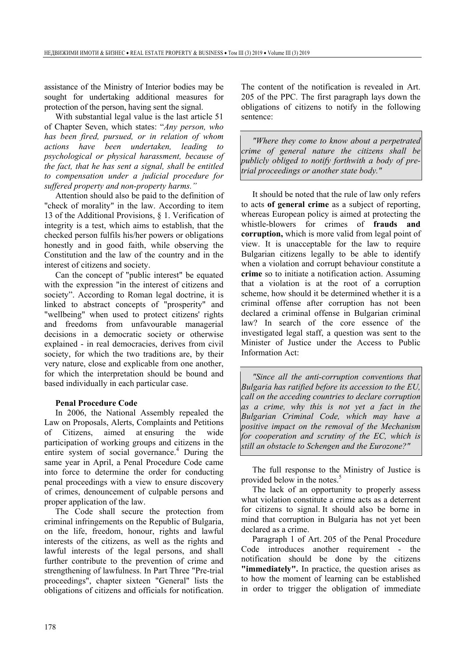assistance of the Ministry of Interior bodies may be sought for undertaking additional measures for protection of the person, having sent the signal.

With substantial legal value is the last article 51 of Chapter Seven, which states: "*Any person, who has been fired, pursued, or in relation of whom actions have been undertaken, leading to psychological or physical harassment, because of the fact, that he has sent a signal, shall be entitled to compensation under a judicial procedure for suffered property and non-property harms."* 

Attention should also be paid to the definition of "check of morality" in the law. According to item 13 of the Additional Provisions, § 1. Verification of integrity is a test, which aims to establish, that the checked person fulfils his/her powers or obligations honestly and in good faith, while observing the Constitution and the law of the country and in the interest of citizens and society.

Can the concept of "public interest" be equated with the expression "in the interest of citizens and society". According to Roman legal doctrine, it is linked to abstract concepts of "prosperity" and "wellbeing" when used to protect citizens' rights and freedoms from unfavourable managerial decisions in a democratic society or otherwise explained - in real democracies, derives from civil society, for which the two traditions are, by their very nature, close and explicable from one another, for which the interpretation should be bound and based individually in each particular case.

## **Penal Procedure Code**

In 2006, the National Assembly repealed the Law on Proposals, Alerts, Complaints and Petitions of Citizens, aimed at ensuring the wide participation of working groups and citizens in the entire system of social governance.<sup>4</sup> During the same year in April, a Penal Procedure Code came into force to determine the order for conducting penal proceedings with a view to ensure discovery of crimes, denouncement of culpable persons and proper application of the law.

The Code shall secure the protection from criminal infringements on the Republic of Bulgaria, on the life, freedom, honour, rights and lawful interests of the citizens, as well as the rights and lawful interests of the legal persons, and shall further contribute to the prevention of crime and strengthening of lawfulness. In Part Three "Pre-trial proceedings", chapter sixteen "General" lists the obligations of citizens and officials for notification.

The content of the notification is revealed in Art. 205 of the PPC. The first paragraph lays down the obligations of citizens to notify in the following sentence:

*"Where they come to know about a perpetrated crime of general nature the citizens shall be publicly obliged to notify forthwith a body of pretrial proceedings or another state body."*

It should be noted that the rule of law only refers to acts **of general crime** as a subject of reporting, whereas European policy is aimed at protecting the whistle-blowers for crimes of **frauds and corruption,** which is more valid from legal point of view. It is unacceptable for the law to require Bulgarian citizens legally to be able to identify when a violation and corrupt behaviour constitute a **crime** so to initiate a notification action. Assuming that a violation is at the root of a corruption scheme, how should it be determined whether it is a criminal offense after corruption has not been declared a criminal offense in Bulgarian criminal law? In search of the core essence of the investigated legal staff, a question was sent to the Minister of Justice under the Access to Public Information Act:

*"Since all the anti-corruption conventions that Bulgaria has ratified before its accession to the EU, call on the acceding countries to declare corruption as a crime, why this is not yet a fact in the Bulgarian Criminal Code, which may have a positive impact on the removal of the Mechanism for cooperation and scrutiny of the EC, which is still an obstacle to Schengen and the Eurozone?"*

The full response to the Ministry of Justice is provided below in the notes.<sup>5</sup>

The lack of an opportunity to properly assess what violation constitute a crime acts as a deterrent for citizens to signal. It should also be borne in mind that corruption in Bulgaria has not yet been declared as a crime.

Paragraph 1 of Art. 205 of the Penal Procedure Code introduces another requirement - the notification should be done by the citizens **"immediately".** In practice, the question arises as to how the moment of learning can be established in order to trigger the obligation of immediate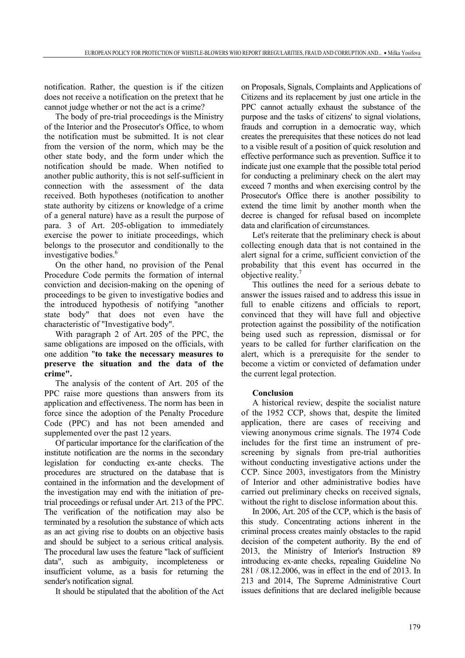notification. Rather, the question is if the citizen does not receive a notification on the pretext that he cannot judge whether or not the act is a crime?

The body of pre-trial proceedings is the Ministry of the Interior and the Prosecutor's Office, to whom the notification must be submitted. It is not clear from the version of the norm, which may be the other state body, and the form under which the notification should be made. When notified to another public authority, this is not self-sufficient in connection with the assessment of the data received. Both hypotheses (notification to another state authority by citizens or knowledge of a crime of a general nature) have as a result the purpose of para. 3 of Art. 205-obligation to immediately exercise the power to initiate proceedings, which belongs to the prosecutor and conditionally to the investigative bodies.<sup>6</sup>

On the other hand, no provision of the Penal Procedure Code permits the formation of internal conviction and decision-making on the opening of proceedings to be given to investigative bodies and the introduced hypothesis of notifying "another state body" that does not even have the characteristic of "Investigative body".

With paragraph 2 of Art. 205 of the PPC, the same obligations are imposed on the officials, with one addition "**to take the necessary measures to preserve the situation and the data of the crime".**

The analysis of the content of Art. 205 of the PPC raise more questions than answers from its application and effectiveness. The norm has been in force since the adoption of the Penalty Procedure Code (PPC) and has not been amended and supplemented over the past 12 years.

Of particular importance for the clarification of the institute notification are the norms in the secondary legislation for conducting ex-ante checks. The procedures are structured on the database that is contained in the information and the development of the investigation may end with the initiation of pretrial proceedings or refusal under Art. 213 of the PPC. The verification of the notification may also be terminated by a resolution the substance of which acts as an act giving rise to doubts on an objective basis and should be subject to a serious critical analysis. The procedural law uses the feature "lack of sufficient data", such as ambiguity, incompleteness or insufficient volume, as a basis for returning the sender's notification signal.

It should be stipulated that the abolition of the Act

on Proposals, Signals, Complaints and Applications of Citizens and its replacement by just one article in the PPC cannot actually exhaust the substance of the purpose and the tasks of citizens' to signal violations, frauds and corruption in a democratic way, which creates the prerequisites that these notices do not lead to a visible result of a position of quick resolution and effective performance such as prevention. Suffice it to indicate just one example that the possible total period for conducting a preliminary check on the alert may exceed 7 months and when exercising control by the Prosecutor's Office there is another possibility to extend the time limit by another month when the decree is changed for refusal based on incomplete data and clarification of circumstances.

Let's reiterate that the preliminary check is about collecting enough data that is not contained in the alert signal for a crime, sufficient conviction of the probability that this event has occurred in the objective reality.<sup>7</sup>

This outlines the need for a serious debate to answer the issues raised and to address this issue in full to enable citizens and officials to report, convinced that they will have full and objective protection against the possibility of the notification being used such as repression, dismissal or for years to be called for further clarification on the alert, which is a prerequisite for the sender to become a victim or convicted of defamation under the current legal protection.

# **Conclusion**

A historical review, despite the socialist nature of the 1952 CCP, shows that, despite the limited application, there are cases of receiving and viewing anonymous crime signals. The 1974 Code includes for the first time an instrument of prescreening by signals from pre-trial authorities without conducting investigative actions under the CCP. Since 2003, investigators from the Ministry of Interior and other administrative bodies have carried out preliminary checks on received signals, without the right to disclose information about this.

In 2006, Art. 205 of the CCP, which is the basis of this study. Concentrating actions inherent in the criminal process creates mainly obstacles to the rapid decision of the competent authority. By the end of 2013, the Ministry of Interior's Instruction 89 introducing ex-ante checks, repealing Guideline No 281 / 08.12.2006, was in effect in the end of 2013. In 213 and 2014, The Supreme Administrative Court issues definitions that are declared ineligible because